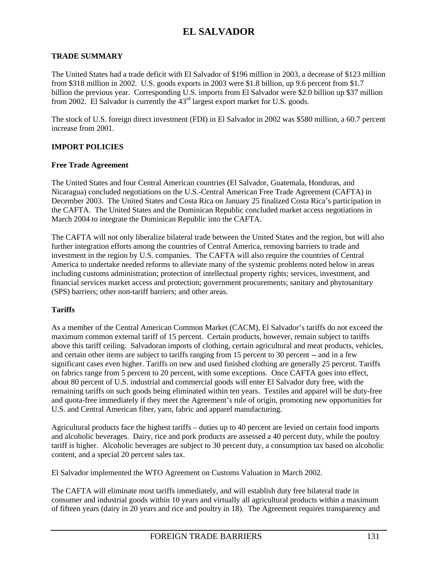### **TRADE SUMMARY**

The United States had a trade deficit with El Salvador of \$196 million in 2003, a decrease of \$123 million from \$318 million in 2002. U.S. goods exports in 2003 were \$1.8 billion, up 9.6 percent from \$1.7 billion the previous year. Corresponding U.S. imports from El Salvador were \$2.0 billion up \$37 million from 2002. El Salvador is currently the 43rd largest export market for U.S. goods.

The stock of U.S. foreign direct investment (FDI) in El Salvador in 2002 was \$580 million, a 60.7 percent increase from 2001.

#### **IMPORT POLICIES**

#### **Free Trade Agreement**

The United States and four Central American countries (El Salvador, Guatemala, Honduras, and Nicaragua) concluded negotiations on the U.S.-Central American Free Trade Agreement (CAFTA) in December 2003. The United States and Costa Rica on January 25 finalized Costa Rica's participation in the CAFTA. The United States and the Dominican Republic concluded market access negotiations in March 2004 to integrate the Dominican Republic into the CAFTA.

The CAFTA will not only liberalize bilateral trade between the United States and the region, but will also further integration efforts among the countries of Central America, removing barriers to trade and investment in the region by U.S. companies. The CAFTA will also require the countries of Central America to undertake needed reforms to alleviate many of the systemic problems noted below in areas including customs administration; protection of intellectual property rights; services, investment, and financial services market access and protection; government procurements; sanitary and phytosanitary (SPS) barriers; other non-tariff barriers; and other areas.

### **Tariffs**

As a member of the Central American Common Market (CACM), El Salvador's tariffs do not exceed the maximum common external tariff of 15 percent. Certain products, however, remain subject to tariffs above this tariff ceiling. Salvadoran imports of clothing, certain agricultural and meat products, vehicles, and certain other items are subject to tariffs ranging from 15 percent to 30 percent -- and in a few significant cases even higher. Tariffs on new and used finished clothing are generally 25 percent. Tariffs on fabrics range from 5 percent to 20 percent, with some exceptions. Once CAFTA goes into effect, about 80 percent of U.S. industrial and commercial goods will enter El Salvador duty free, with the remaining tariffs on such goods being eliminated within ten years. Textiles and apparel will be duty-free and quota-free immediately if they meet the Agreement's rule of origin, promoting new opportunities for U.S. and Central American fiber, yarn, fabric and apparel manufacturing.

Agricultural products face the highest tariffs – duties up to 40 percent are levied on certain food imports and alcoholic beverages. Dairy, rice and pork products are assessed a 40 percent duty, while the poultry tariff is higher. Alcoholic beverages are subject to 30 percent duty, a consumption tax based on alcoholic content, and a special 20 percent sales tax.

El Salvador implemented the WTO Agreement on Customs Valuation in March 2002.

The CAFTA will eliminate most tariffs immediately, and will establish duty free bilateral trade in consumer and industrial goods within 10 years and virtually all agricultural products within a maximum of fifteen years (dairy in 20 years and rice and poultry in 18). The Agreement requires transparency and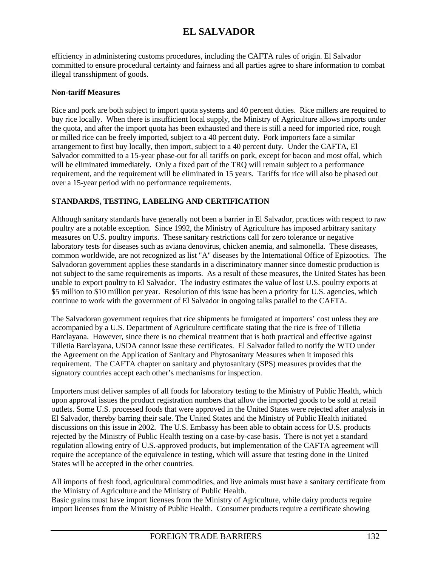efficiency in administering customs procedures, including the CAFTA rules of origin. El Salvador committed to ensure procedural certainty and fairness and all parties agree to share information to combat illegal transshipment of goods.

## **Non-tariff Measures**

Rice and pork are both subject to import quota systems and 40 percent duties. Rice millers are required to buy rice locally. When there is insufficient local supply, the Ministry of Agriculture allows imports under the quota, and after the import quota has been exhausted and there is still a need for imported rice, rough or milled rice can be freely imported, subject to a 40 percent duty. Pork importers face a similar arrangement to first buy locally, then import, subject to a 40 percent duty. Under the CAFTA, El Salvador committed to a 15-year phase-out for all tariffs on pork, except for bacon and most offal, which will be eliminated immediately. Only a fixed part of the TRQ will remain subject to a performance requirement, and the requirement will be eliminated in 15 years. Tariffs for rice will also be phased out over a 15-year period with no performance requirements.

## **STANDARDS, TESTING, LABELING AND CERTIFICATION**

Although sanitary standards have generally not been a barrier in El Salvador, practices with respect to raw poultry are a notable exception. Since 1992, the Ministry of Agriculture has imposed arbitrary sanitary measures on U.S. poultry imports. These sanitary restrictions call for zero tolerance or negative laboratory tests for diseases such as aviana denovirus, chicken anemia, and salmonella. These diseases, common worldwide, are not recognized as list "A" diseases by the International Office of Epizootics. The Salvadoran government applies these standards in a discriminatory manner since domestic production is not subject to the same requirements as imports. As a result of these measures, the United States has been unable to export poultry to El Salvador. The industry estimates the value of lost U.S. poultry exports at \$5 million to \$10 million per year. Resolution of this issue has been a priority for U.S. agencies, which continue to work with the government of El Salvador in ongoing talks parallel to the CAFTA.

The Salvadoran government requires that rice shipments be fumigated at importers' cost unless they are accompanied by a U.S. Department of Agriculture certificate stating that the rice is free of Tilletia Barclayana. However, since there is no chemical treatment that is both practical and effective against Tilletia Barclayana, USDA cannot issue these certificates. El Salvador failed to notify the WTO under the Agreement on the Application of Sanitary and Phytosanitary Measures when it imposed this requirement. The CAFTA chapter on sanitary and phytosanitary (SPS) measures provides that the signatory countries accept each other's mechanisms for inspection.

Importers must deliver samples of all foods for laboratory testing to the Ministry of Public Health, which upon approval issues the product registration numbers that allow the imported goods to be sold at retail outlets. Some U.S. processed foods that were approved in the United States were rejected after analysis in El Salvador, thereby barring their sale. The United States and the Ministry of Public Health initiated discussions on this issue in 2002. The U.S. Embassy has been able to obtain access for U.S. products rejected by the Ministry of Public Health testing on a case-by-case basis. There is not yet a standard regulation allowing entry of U.S.-approved products, but implementation of the CAFTA agreement will require the acceptance of the equivalence in testing, which will assure that testing done in the United States will be accepted in the other countries.

All imports of fresh food, agricultural commodities, and live animals must have a sanitary certificate from the Ministry of Agriculture and the Ministry of Public Health.

Basic grains must have import licenses from the Ministry of Agriculture, while dairy products require import licenses from the Ministry of Public Health. Consumer products require a certificate showing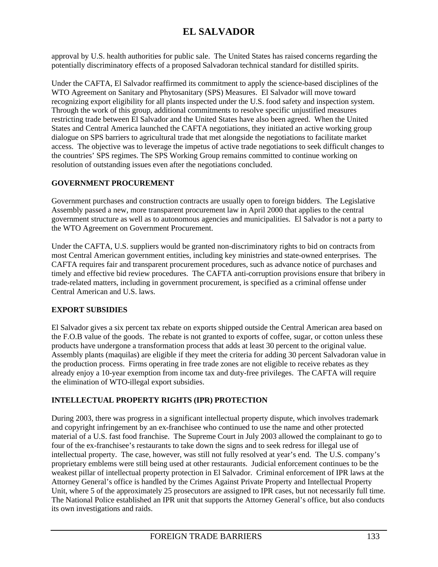approval by U.S. health authorities for public sale. The United States has raised concerns regarding the potentially discriminatory effects of a proposed Salvadoran technical standard for distilled spirits.

Under the CAFTA, El Salvador reaffirmed its commitment to apply the science-based disciplines of the WTO Agreement on Sanitary and Phytosanitary (SPS) Measures. El Salvador will move toward recognizing export eligibility for all plants inspected under the U.S. food safety and inspection system. Through the work of this group, additional commitments to resolve specific unjustified measures restricting trade between El Salvador and the United States have also been agreed. When the United States and Central America launched the CAFTA negotiations, they initiated an active working group dialogue on SPS barriers to agricultural trade that met alongside the negotiations to facilitate market access. The objective was to leverage the impetus of active trade negotiations to seek difficult changes to the countries' SPS regimes. The SPS Working Group remains committed to continue working on resolution of outstanding issues even after the negotiations concluded.

## **GOVERNMENT PROCUREMENT**

Government purchases and construction contracts are usually open to foreign bidders. The Legislative Assembly passed a new, more transparent procurement law in April 2000 that applies to the central government structure as well as to autonomous agencies and municipalities. El Salvador is not a party to the WTO Agreement on Government Procurement.

Under the CAFTA, U.S. suppliers would be granted non-discriminatory rights to bid on contracts from most Central American government entities, including key ministries and state-owned enterprises. The CAFTA requires fair and transparent procurement procedures, such as advance notice of purchases and timely and effective bid review procedures. The CAFTA anti-corruption provisions ensure that bribery in trade-related matters, including in government procurement, is specified as a criminal offense under Central American and U.S. laws.

## **EXPORT SUBSIDIES**

El Salvador gives a six percent tax rebate on exports shipped outside the Central American area based on the F.O.B value of the goods. The rebate is not granted to exports of coffee, sugar, or cotton unless these products have undergone a transformation process that adds at least 30 percent to the original value. Assembly plants (maquilas) are eligible if they meet the criteria for adding 30 percent Salvadoran value in the production process. Firms operating in free trade zones are not eligible to receive rebates as they already enjoy a 10-year exemption from income tax and duty-free privileges. The CAFTA will require the elimination of WTO-illegal export subsidies.

## **INTELLECTUAL PROPERTY RIGHTS (IPR) PROTECTION**

During 2003, there was progress in a significant intellectual property dispute, which involves trademark and copyright infringement by an ex-franchisee who continued to use the name and other protected material of a U.S. fast food franchise. The Supreme Court in July 2003 allowed the complainant to go to four of the ex-franchisee's restaurants to take down the signs and to seek redress for illegal use of intellectual property. The case, however, was still not fully resolved at year's end. The U.S. company's proprietary emblems were still being used at other restaurants. Judicial enforcement continues to be the weakest pillar of intellectual property protection in El Salvador. Criminal enforcement of IPR laws at the Attorney General's office is handled by the Crimes Against Private Property and Intellectual Property Unit, where 5 of the approximately 25 prosecutors are assigned to IPR cases, but not necessarily full time. The National Police established an IPR unit that supports the Attorney General's office, but also conducts its own investigations and raids.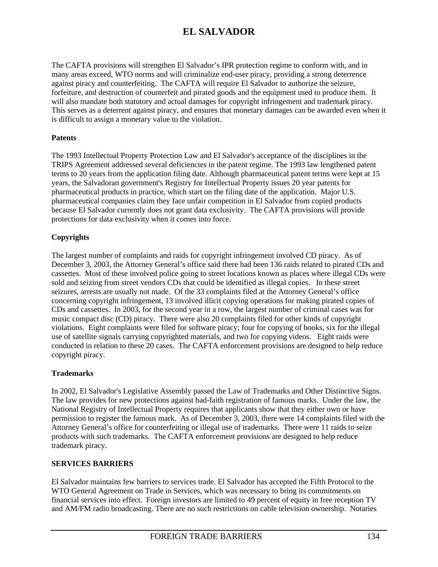The CAFTA provisions will strengthen El Salvador's IPR protection regime to conform with, and in many areas exceed, WTO norms and will criminalize end-user piracy, providing a strong deterrence against piracy and counterfeiting. The CAFTA will require El Salvador to authorize the seizure, forfeiture, and destruction of counterfeit and pirated goods and the equipment used to produce them. It will also mandate both statutory and actual damages for copyright infringement and trademark piracy. This serves as a deterrent against piracy, and ensures that monetary damages can be awarded even when it is difficult to assign a monetary value to the violation.

### **Patents**

The 1993 Intellectual Property Protection Law and El Salvador's acceptance of the disciplines in the TRIPS Agreement addressed several deficiencies in the patent regime. The 1993 law lengthened patent terms to 20 years from the application filing date. Although pharmaceutical patent terms were kept at 15 years, the Salvadoran government's Registry for Intellectual Property issues 20 year patents for pharmaceutical products in practice, which start on the filing date of the application. Major U.S. pharmaceutical companies claim they face unfair competition in El Salvador from copied products because El Salvador currently does not grant data exclusivity. The CAFTA provisions will provide protections for data exclusivity when it comes into force.

### **Copyrights**

The largest number of complaints and raids for copyright infringement involved CD piracy. As of December 3, 2003, the Attorney General's office said there had been 136 raids related to pirated CDs and cassettes. Most of these involved police going to street locations known as places where illegal CDs were sold and seizing from street vendors CDs that could be identified as illegal copies. In these street seizures, arrests are usually not made. Of the 33 complaints filed at the Attorney General's office concerning copyright infringement, 13 involved illicit copying operations for making pirated copies of CDs and cassettes. In 2003, for the second year in a row, the largest number of criminal cases was for music compact disc (CD) piracy. There were also 20 complaints filed for other kinds of copyright violations. Eight complaints were filed for software piracy; four for copying of books, six for the illegal use of satellite signals carrying copyrighted materials, and two for copying videos. Eight raids were conducted in relation to these 20 cases. The CAFTA enforcement provisions are designed to help reduce copyright piracy.

#### **Trademarks**

In 2002, El Salvador's Legislative Assembly passed the Law of Trademarks and Other Distinctive Signs. The law provides for new protections against bad-faith registration of famous marks. Under the law, the National Registry of Intellectual Property requires that applicants show that they either own or have permission to register the famous mark. As of December 3, 2003, there were 14 complaints filed with the Attorney General's office for counterfeiting or illegal use of trademarks. There were 11 raids to seize products with such trademarks. The CAFTA enforcement provisions are designed to help reduce trademark piracy.

#### **SERVICES BARRIERS**

El Salvador maintains few barriers to services trade. El Salvador has accepted the Fifth Protocol to the WTO General Agreement on Trade in Services, which was necessary to bring its commitments on financial services into effect. Foreign investors are limited to 49 percent of equity in free reception TV and AM/FM radio broadcasting. There are no such restrictions on cable television ownership. Notaries